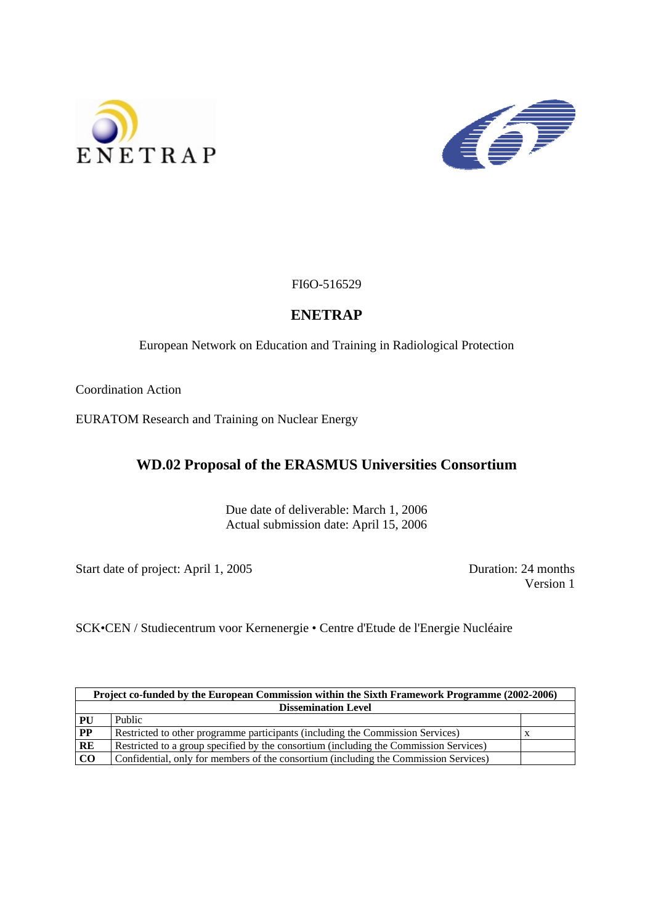



FI6O-516529

## **ENETRAP**

European Network on Education and Training in Radiological Protection

Coordination Action

EURATOM Research and Training on Nuclear Energy

# **WD.02 Proposal of the ERASMUS Universities Consortium**

Due date of deliverable: March 1, 2006 Actual submission date: April 15, 2006

Start date of project: April 1, 2005 Duration: 24 months

Version 1

SCK•CEN / Studiecentrum voor Kernenergie • Centre d'Etude de l'Energie Nucléaire

| Project co-funded by the European Commission within the Sixth Framework Programme (2002-2006) |                                                                                       |  |
|-----------------------------------------------------------------------------------------------|---------------------------------------------------------------------------------------|--|
| <b>Dissemination Level</b>                                                                    |                                                                                       |  |
| <b>PU</b>                                                                                     | Public                                                                                |  |
| $\mathbf{PP}$                                                                                 | Restricted to other programme participants (including the Commission Services)        |  |
| RE                                                                                            | Restricted to a group specified by the consortium (including the Commission Services) |  |
| CO                                                                                            | Confidential, only for members of the consortium (including the Commission Services)  |  |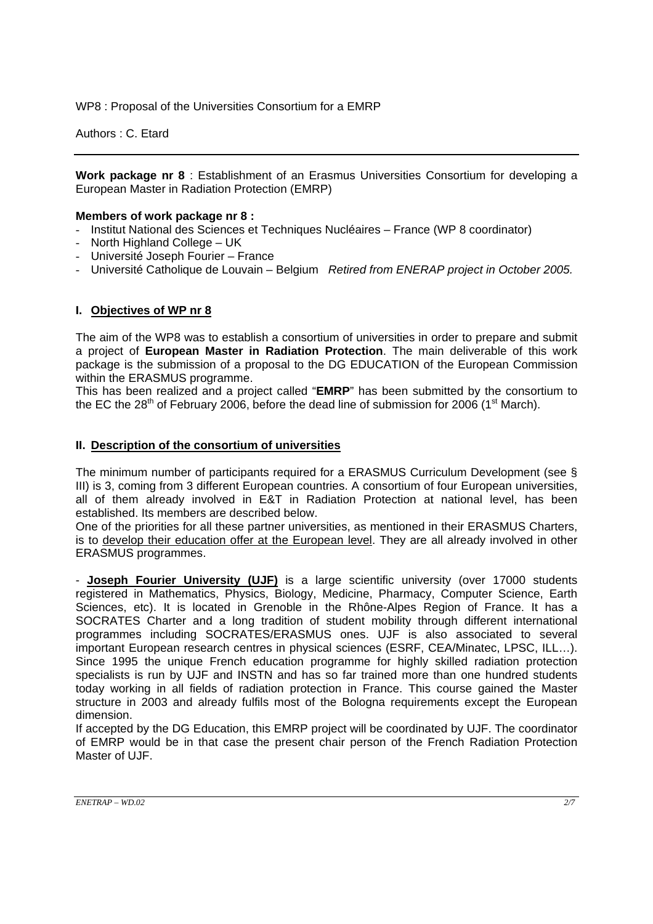WP8 : Proposal of the Universities Consortium for a EMRP

Authors : C. Etard

**Work package nr 8** : Establishment of an Erasmus Universities Consortium for developing a European Master in Radiation Protection (EMRP)

## **Members of work package nr 8 :**

- Institut National des Sciences et Techniques Nucléaires France (WP 8 coordinator)
- North Highland College UK
- Université Joseph Fourier France
- Université Catholique de Louvain Belgium *Retired from ENERAP project in October 2005.*

## **I. Objectives of WP nr 8**

The aim of the WP8 was to establish a consortium of universities in order to prepare and submit a project of **European Master in Radiation Protection**. The main deliverable of this work package is the submission of a proposal to the DG EDUCATION of the European Commission within the ERASMUS programme.

This has been realized and a project called "**EMRP**" has been submitted by the consortium to the EC the 28<sup>th</sup> of February 2006, before the dead line of submission for 2006 (1<sup>st</sup> March).

## **II. Description of the consortium of universities**

The minimum number of participants required for a ERASMUS Curriculum Development (see § III) is 3, coming from 3 different European countries. A consortium of four European universities, all of them already involved in E&T in Radiation Protection at national level, has been established. Its members are described below.

One of the priorities for all these partner universities, as mentioned in their ERASMUS Charters, is to develop their education offer at the European level. They are all already involved in other ERASMUS programmes.

- **Joseph Fourier University (UJF)** is a large scientific university (over 17000 students registered in Mathematics, Physics, Biology, Medicine, Pharmacy, Computer Science, Earth Sciences, etc). It is located in Grenoble in the Rhône-Alpes Region of France. It has a SOCRATES Charter and a long tradition of student mobility through different international programmes including SOCRATES/ERASMUS ones. UJF is also associated to several important European research centres in physical sciences (ESRF, CEA/Minatec, LPSC, ILL…). Since 1995 the unique French education programme for highly skilled radiation protection specialists is run by UJF and INSTN and has so far trained more than one hundred students today working in all fields of radiation protection in France. This course gained the Master structure in 2003 and already fulfils most of the Bologna requirements except the European dimension.

If accepted by the DG Education, this EMRP project will be coordinated by UJF. The coordinator of EMRP would be in that case the present chair person of the French Radiation Protection Master of UJF.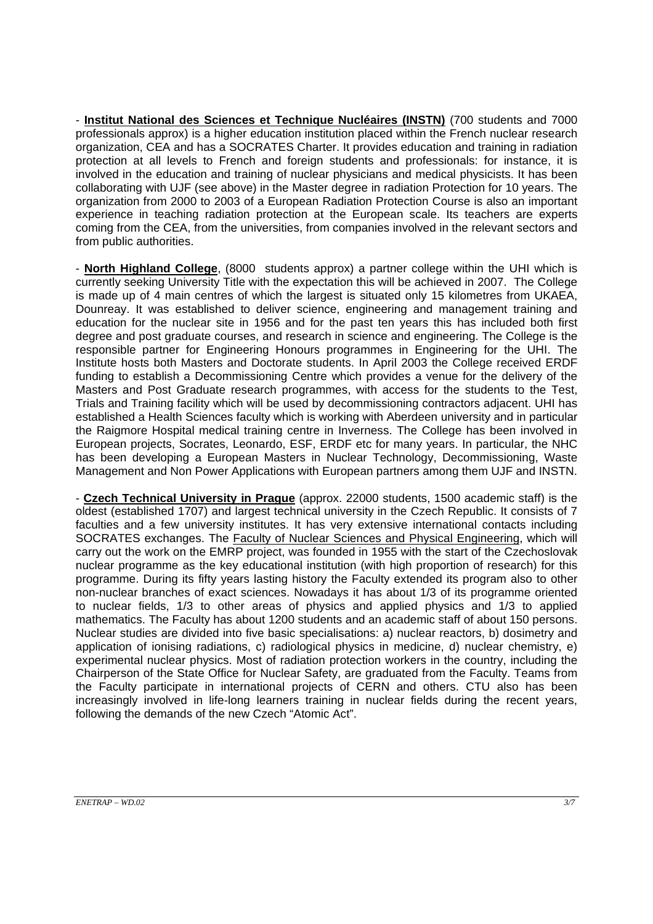- **Institut National des Sciences et Technique Nucléaires (INSTN)** (700 students and 7000 professionals approx) is a higher education institution placed within the French nuclear research organization, CEA and has a SOCRATES Charter. It provides education and training in radiation protection at all levels to French and foreign students and professionals: for instance, it is involved in the education and training of nuclear physicians and medical physicists. It has been collaborating with UJF (see above) in the Master degree in radiation Protection for 10 years. The organization from 2000 to 2003 of a European Radiation Protection Course is also an important experience in teaching radiation protection at the European scale. Its teachers are experts coming from the CEA, from the universities, from companies involved in the relevant sectors and from public authorities.

- **North Highland College**, (8000 students approx) a partner college within the UHI which is currently seeking University Title with the expectation this will be achieved in 2007. The College is made up of 4 main centres of which the largest is situated only 15 kilometres from UKAEA, Dounreay. It was established to deliver science, engineering and management training and education for the nuclear site in 1956 and for the past ten years this has included both first degree and post graduate courses, and research in science and engineering. The College is the responsible partner for Engineering Honours programmes in Engineering for the UHI. The Institute hosts both Masters and Doctorate students. In April 2003 the College received ERDF funding to establish a Decommissioning Centre which provides a venue for the delivery of the Masters and Post Graduate research programmes, with access for the students to the Test, Trials and Training facility which will be used by decommissioning contractors adjacent. UHI has established a Health Sciences faculty which is working with Aberdeen university and in particular the Raigmore Hospital medical training centre in Inverness. The College has been involved in European projects, Socrates, Leonardo, ESF, ERDF etc for many years. In particular, the NHC has been developing a European Masters in Nuclear Technology, Decommissioning, Waste Management and Non Power Applications with European partners among them UJF and INSTN.

- **Czech Technical University in Prague** (approx. 22000 students, 1500 academic staff) is the oldest (established 1707) and largest technical university in the Czech Republic. It consists of 7 faculties and a few university institutes. It has very extensive international contacts including SOCRATES exchanges. The Faculty of Nuclear Sciences and Physical Engineering, which will carry out the work on the EMRP project, was founded in 1955 with the start of the Czechoslovak nuclear programme as the key educational institution (with high proportion of research) for this programme. During its fifty years lasting history the Faculty extended its program also to other non-nuclear branches of exact sciences. Nowadays it has about 1/3 of its programme oriented to nuclear fields, 1/3 to other areas of physics and applied physics and 1/3 to applied mathematics. The Faculty has about 1200 students and an academic staff of about 150 persons. Nuclear studies are divided into five basic specialisations: a) nuclear reactors, b) dosimetry and application of ionising radiations, c) radiological physics in medicine, d) nuclear chemistry, e) experimental nuclear physics. Most of radiation protection workers in the country, including the Chairperson of the State Office for Nuclear Safety, are graduated from the Faculty. Teams from the Faculty participate in international projects of CERN and others. CTU also has been increasingly involved in life-long learners training in nuclear fields during the recent years, following the demands of the new Czech "Atomic Act".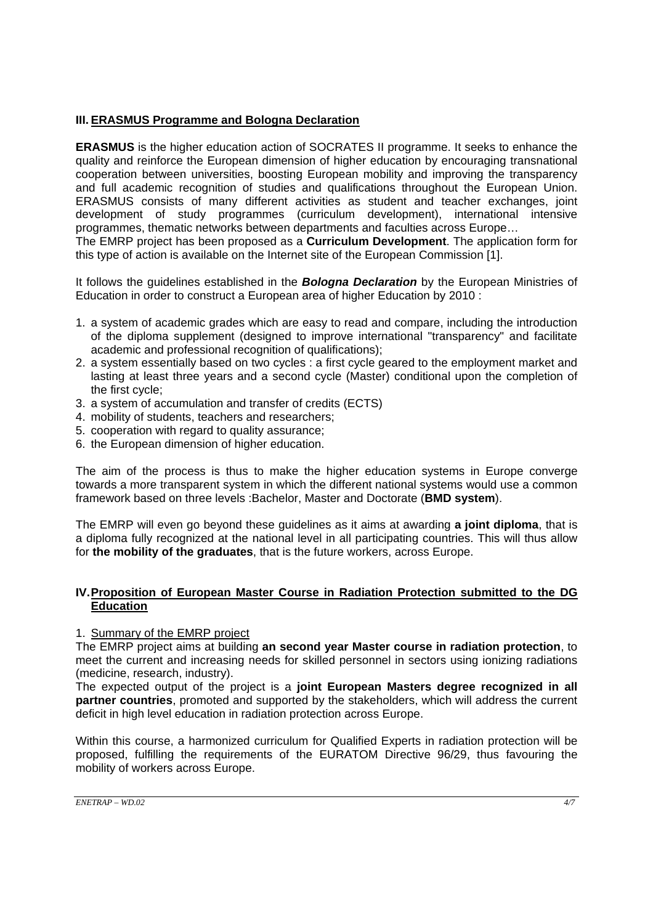## **III. ERASMUS Programme and Bologna Declaration**

**ERASMUS** is the higher education action of SOCRATES II programme. It seeks to enhance the quality and reinforce the European dimension of higher education by encouraging transnational cooperation between universities, boosting European mobility and improving the transparency and full academic recognition of studies and qualifications throughout the European Union. ERASMUS consists of many different activities as student and teacher exchanges, joint development of study programmes (curriculum development), international intensive programmes, thematic networks between departments and faculties across Europe… The EMRP project has been proposed as a **Curriculum Development**. The application form for

this type of action is available on the Internet site of the European Commission [1].

It follows the guidelines established in the *Bologna Declaration* by the European Ministries of Education in order to construct a European area of higher Education by 2010 :

- 1. a system of academic grades which are easy to read and compare, including the introduction of the diploma supplement (designed to improve international "transparency" and facilitate academic and professional recognition of qualifications);
- 2. a system essentially based on two cycles : a first cycle geared to the employment market and lasting at least three years and a second cycle (Master) conditional upon the completion of the first cycle;
- 3. a system of accumulation and transfer of credits (ECTS)
- 4. mobility of students, teachers and researchers;
- 5. cooperation with regard to quality assurance;
- 6. the European dimension of higher education.

The aim of the process is thus to make the higher education systems in Europe converge towards a more transparent system in which the different national systems would use a common framework based on three levels :Bachelor, Master and Doctorate (**BMD system**).

The EMRP will even go beyond these guidelines as it aims at awarding **a joint diploma**, that is a diploma fully recognized at the national level in all participating countries. This will thus allow for **the mobility of the graduates**, that is the future workers, across Europe.

## **IV. Proposition of European Master Course in Radiation Protection submitted to the DG Education**

## 1. Summary of the EMRP project

The EMRP project aims at building **an second year Master course in radiation protection**, to meet the current and increasing needs for skilled personnel in sectors using ionizing radiations (medicine, research, industry).

The expected output of the project is a **joint European Masters degree recognized in all partner countries**, promoted and supported by the stakeholders, which will address the current deficit in high level education in radiation protection across Europe.

Within this course, a harmonized curriculum for Qualified Experts in radiation protection will be proposed, fulfilling the requirements of the EURATOM Directive 96/29, thus favouring the mobility of workers across Europe.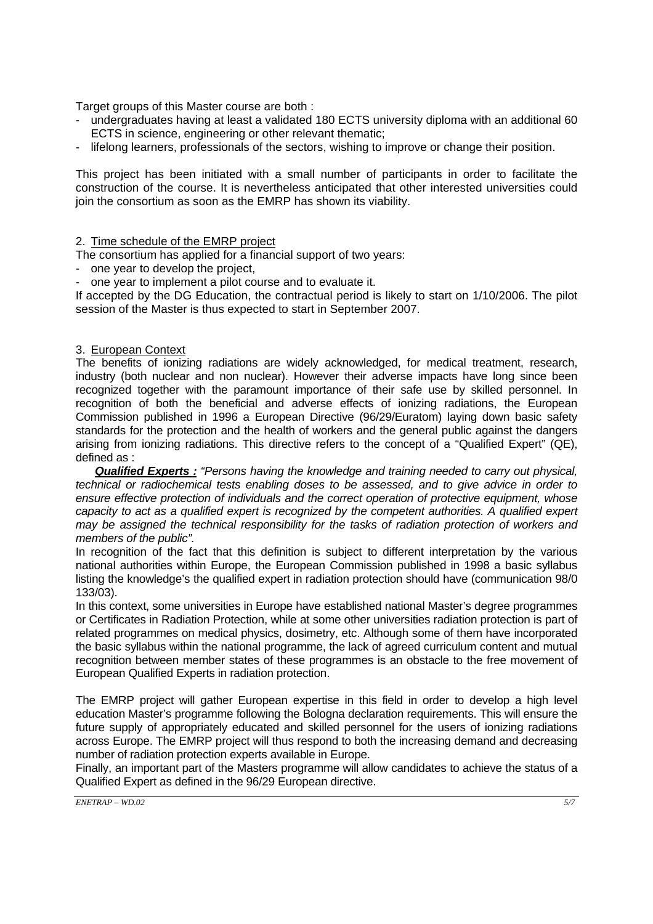Target groups of this Master course are both :

- undergraduates having at least a validated 180 ECTS university diploma with an additional 60 ECTS in science, engineering or other relevant thematic;
- lifelong learners, professionals of the sectors, wishing to improve or change their position.

This project has been initiated with a small number of participants in order to facilitate the construction of the course. It is nevertheless anticipated that other interested universities could join the consortium as soon as the EMRP has shown its viability.

#### 2. Time schedule of the EMRP project

The consortium has applied for a financial support of two years:

one year to develop the project,

one year to implement a pilot course and to evaluate it.

If accepted by the DG Education, the contractual period is likely to start on 1/10/2006. The pilot session of the Master is thus expected to start in September 2007.

## 3. European Context

The benefits of ionizing radiations are widely acknowledged, for medical treatment, research, industry (both nuclear and non nuclear). However their adverse impacts have long since been recognized together with the paramount importance of their safe use by skilled personnel. In recognition of both the beneficial and adverse effects of ionizing radiations, the European Commission published in 1996 a European Directive (96/29/Euratom) laying down basic safety standards for the protection and the health of workers and the general public against the dangers arising from ionizing radiations. This directive refers to the concept of a "Qualified Expert" (QE), defined as :

*Qualified Experts : "Persons having the knowledge and training needed to carry out physical, technical or radiochemical tests enabling doses to be assessed, and to give advice in order to ensure effective protection of individuals and the correct operation of protective equipment, whose capacity to act as a qualified expert is recognized by the competent authorities. A qualified expert may be assigned the technical responsibility for the tasks of radiation protection of workers and members of the public".* 

In recognition of the fact that this definition is subject to different interpretation by the various national authorities within Europe, the European Commission published in 1998 a basic syllabus listing the knowledge's the qualified expert in radiation protection should have (communication 98/0 133/03).

In this context, some universities in Europe have established national Master's degree programmes or Certificates in Radiation Protection, while at some other universities radiation protection is part of related programmes on medical physics, dosimetry, etc. Although some of them have incorporated the basic syllabus within the national programme, the lack of agreed curriculum content and mutual recognition between member states of these programmes is an obstacle to the free movement of European Qualified Experts in radiation protection.

The EMRP project will gather European expertise in this field in order to develop a high level education Master's programme following the Bologna declaration requirements. This will ensure the future supply of appropriately educated and skilled personnel for the users of ionizing radiations across Europe. The EMRP project will thus respond to both the increasing demand and decreasing number of radiation protection experts available in Europe.

Finally, an important part of the Masters programme will allow candidates to achieve the status of a Qualified Expert as defined in the 96/29 European directive.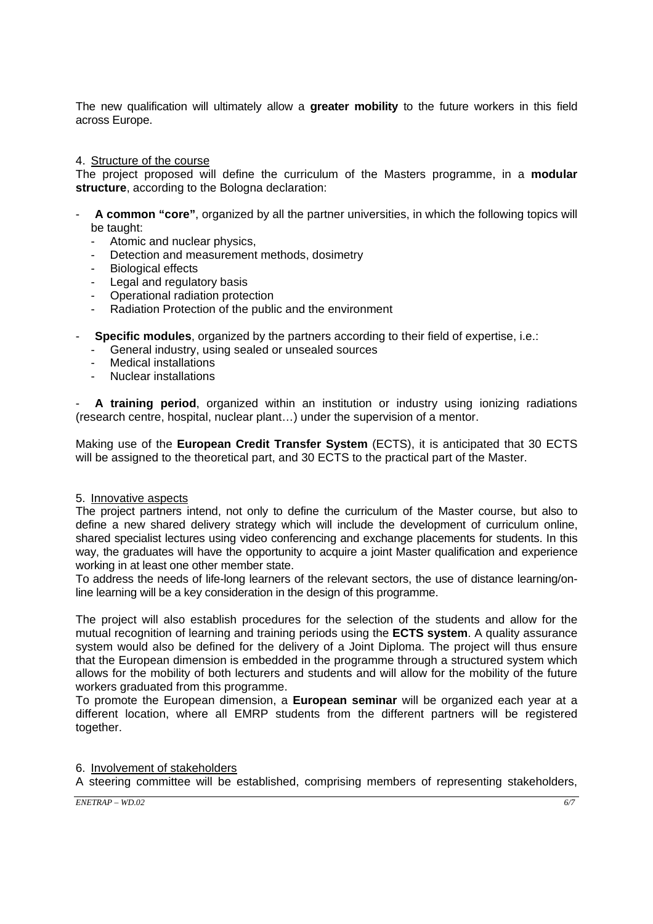The new qualification will ultimately allow a **greater mobility** to the future workers in this field across Europe.

#### 4. Structure of the course

The project proposed will define the curriculum of the Masters programme, in a **modular structure**, according to the Bologna declaration:

- **A common "core"**, organized by all the partner universities, in which the following topics will be taught:
	- Atomic and nuclear physics,
	- Detection and measurement methods, dosimetry
	- Biological effects
	- Legal and regulatory basis
	- Operational radiation protection
	- Radiation Protection of the public and the environment
- **Specific modules**, organized by the partners according to their field of expertise, i.e.:
	- General industry, using sealed or unsealed sources
	- Medical installations
	- Nuclear installations

- **A training period**, organized within an institution or industry using ionizing radiations (research centre, hospital, nuclear plant…) under the supervision of a mentor.

Making use of the **European Credit Transfer System** (ECTS), it is anticipated that 30 ECTS will be assigned to the theoretical part, and 30 ECTS to the practical part of the Master.

#### 5. Innovative aspects

The project partners intend, not only to define the curriculum of the Master course, but also to define a new shared delivery strategy which will include the development of curriculum online, shared specialist lectures using video conferencing and exchange placements for students. In this way, the graduates will have the opportunity to acquire a joint Master qualification and experience working in at least one other member state.

To address the needs of life-long learners of the relevant sectors, the use of distance learning/online learning will be a key consideration in the design of this programme.

The project will also establish procedures for the selection of the students and allow for the mutual recognition of learning and training periods using the **ECTS system**. A quality assurance system would also be defined for the delivery of a Joint Diploma. The project will thus ensure that the European dimension is embedded in the programme through a structured system which allows for the mobility of both lecturers and students and will allow for the mobility of the future workers graduated from this programme.

To promote the European dimension, a **European seminar** will be organized each year at a different location, where all EMRP students from the different partners will be registered together.

6. Involvement of stakeholders

A steering committee will be established, comprising members of representing stakeholders,